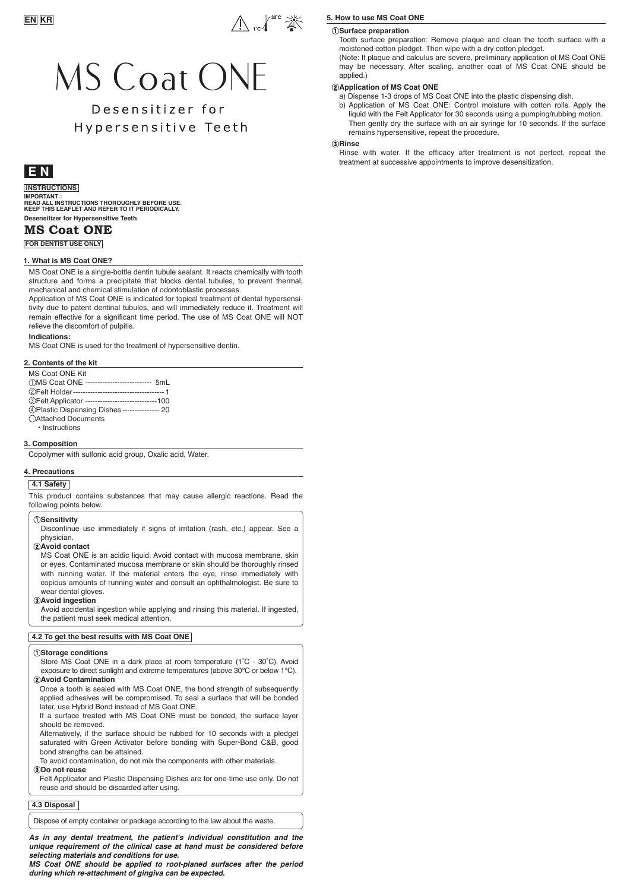

# **MS Coat ONE**

# Desensitizer for Hypersensitive Teeth

## **E N**

## **INSTRUCTIONS**

**Desensitizer for Hypersensitive Teeth IMPORTANT : READ ALL INSTRUCTIONS THOROUGHLY BEFORE USE. KEEP THIS LEAFLET AND REFER TO IT PERIODICALLY.** 

## **MS Coat ONE**

**FOR DENTIST USE ONLY**

### **1. What is MS Coat ONE?**

MS Coat ONE is a single-bottle dentin tubule sealant. It reacts chemically with tooth structure and forms a precipitate that blocks dental tubules, to prevent thermal, mechanical and chemical stimulation of odontoblastic processes.

Application of MS Coat ONE is indicated for topical treatment of dental hypersensitivity due to patent dentinal tubules, and will immediately reduce it. Treatment will remain effective for a significant time period. The use of MS Coat ONE will NOT relieve the discomfort of pulpitis.

### **Indications:**

MS Coat ONE is used for the treatment of hypersensitive dentin.

### **2. Contents of the kit**

- MS Coat ONE Kit<br>10MS Coat ONE --MS Coat ONE --------------------------- 5mL Felt Holder------------------------------------- 1 Felt Applicator -----------------------------100
- Plastic Dispensing Dishes --------------- 20
- Attached Documents
- Instructions

### **3. Composition**

Copolymer with sulfonic acid group, Oxalic acid, Water.

### **4. Precautions**

### **4.1 Safety**

This product contains substances that may cause allergic reactions. Read the following points below.

### **Sensitivity**

Discontinue use immediately if signs of irritation (rash, etc.) appear. See a physician.

**Avoid contact**

MS Coat ONE is an acidic liquid. Avoid contact with mucosa membrane, skin or eyes. Contaminated mucosa membrane or skin should be thoroughly rinsed with running water. If the material enters the eye, rinse immediately with copious amounts of running water and consult an ophthalmologist. Be sure to wear dental gloves.

### **Avoid ingestion**

Avoid accidental ingestion while applying and rinsing this material. If ingested, the patient must seek medical attention.

### **4.2 To get the best results with MS Coat ONE**

#### **Storage conditions**

Store MS Coat ONE in a dark place at room temperature (1˚C - 30˚C). Avoid exposure to direct sunlight and extreme temperatures (above 30°C or below 1°C).

### **Avoid Contamination**

Once a tooth is sealed with MS Coat ONE, the bond strength of subsequently applied adhesives will be compromised. To seal a surface that will be bonded later, use Hybrid Bond instead of MS Coat ONE.

If a surface treated with MS Coat ONE must be bonded, the surface layer should be removed.

Alternatively, if the surface should be rubbed for 10 seconds with a pledget saturated with Green Activator before bonding with Super-Bond C&B, good bond strengths can be attained.

To avoid contamination, do not mix the components with other materials.

**Do not reuse**

Felt Applicator and Plastic Dispensing Dishes are for one-time use only. Do not reuse and should be discarded after using.

## **4.3 Disposal**

Dispose of empty container or package according to the law about the waste.

*As in any dental treatment, the patient's individual constitution and the unique requirement of the clinical case at hand must be considered before selecting materials and conditions for use.* 

*MS Coat ONE should be applied to root-planed surfaces after the period during which re-attachment of gingiva can be expected.*

### **5. How to use MS Coat ONE**

## **Surface preparation**

Tooth surface preparation: Remove plaque and clean the tooth surface with a moistened cotton pledget. Then wipe with a dry cotton pledget.

(Note: If plaque and calculus are severe, preliminary application of MS Coat ONE may be necessary. After scaling, another coat of MS Coat ONE should be applied.)

### **(2) Application of MS Coat ONE**

a) Dispense 1-3 drops of MS Coat ONE into the plastic dispensing dish.

b) Application of MS Coat ONE: Control moisture with cotton rolls. Apply the liquid with the Felt Applicator for 30 seconds using a pumping/rubbing motion. Then gently dry the surface with an air syringe for 10 seconds. If the surface remains hypersensitive, repeat the procedure.

### **Rinse**

Rinse with water. If the efficacy after treatment is not perfect, repeat the treatment at successive appointments to improve desensitization.